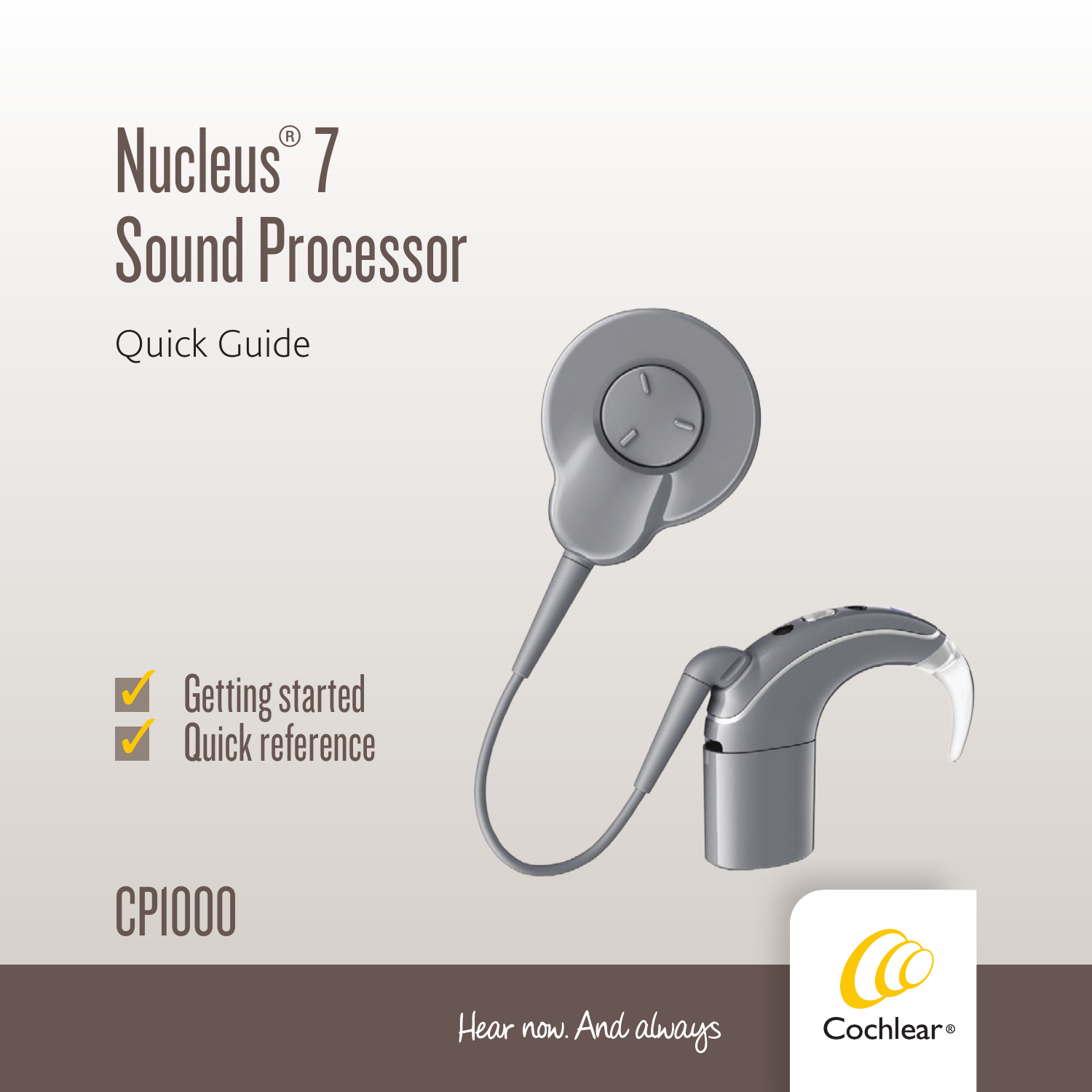## Nucleus<sup>®</sup> 7 Sound Processor

#### Quick Guide





### CP1000

Hear now. And always

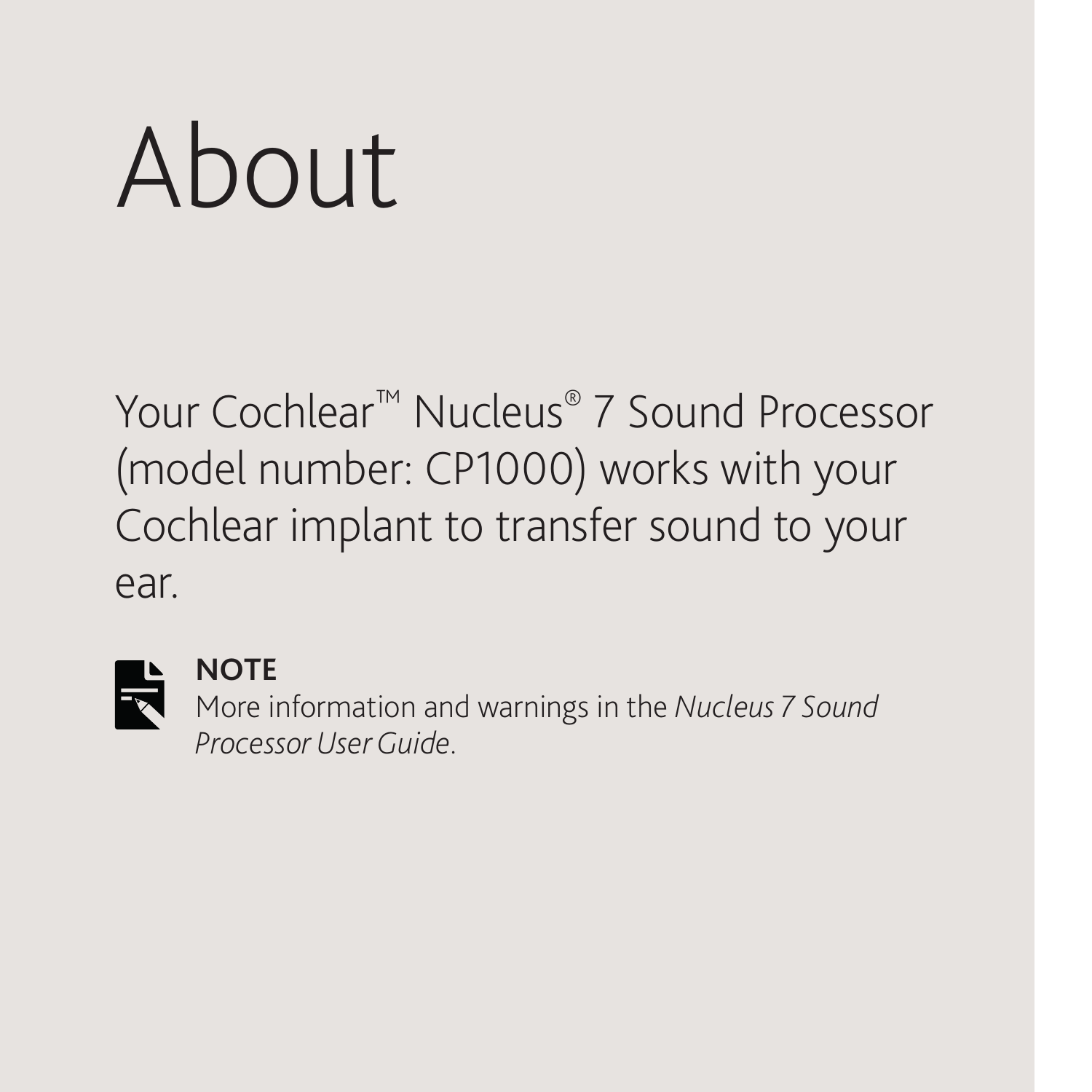# About

Your Cochlear™ Nucleus® 7 Sound Processor (model number: CP1000) works with your Cochlear implant to transfer sound to your ear.



#### **NOTE**

More information and warnings in the *Nucleus 7 Sound Processor User Guide*.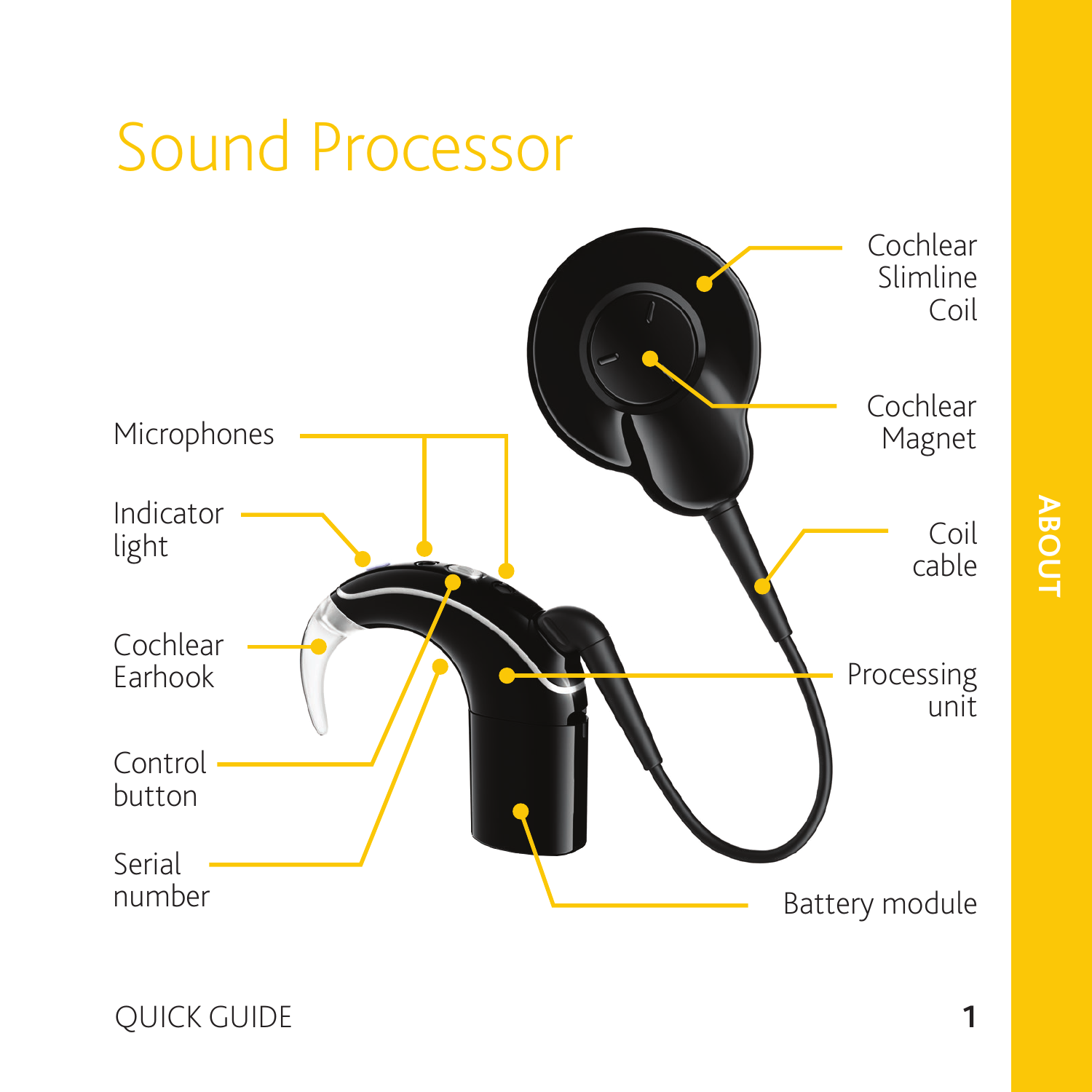#### Sound Processor Microphones Cochlear Slimline Indicator light Coil cable Processing Cochlear Earhook Cochlear Magnet

**ABOUT**

Coil

unit

Battery module

QUICK GUIDE **1**

Control button

Serial number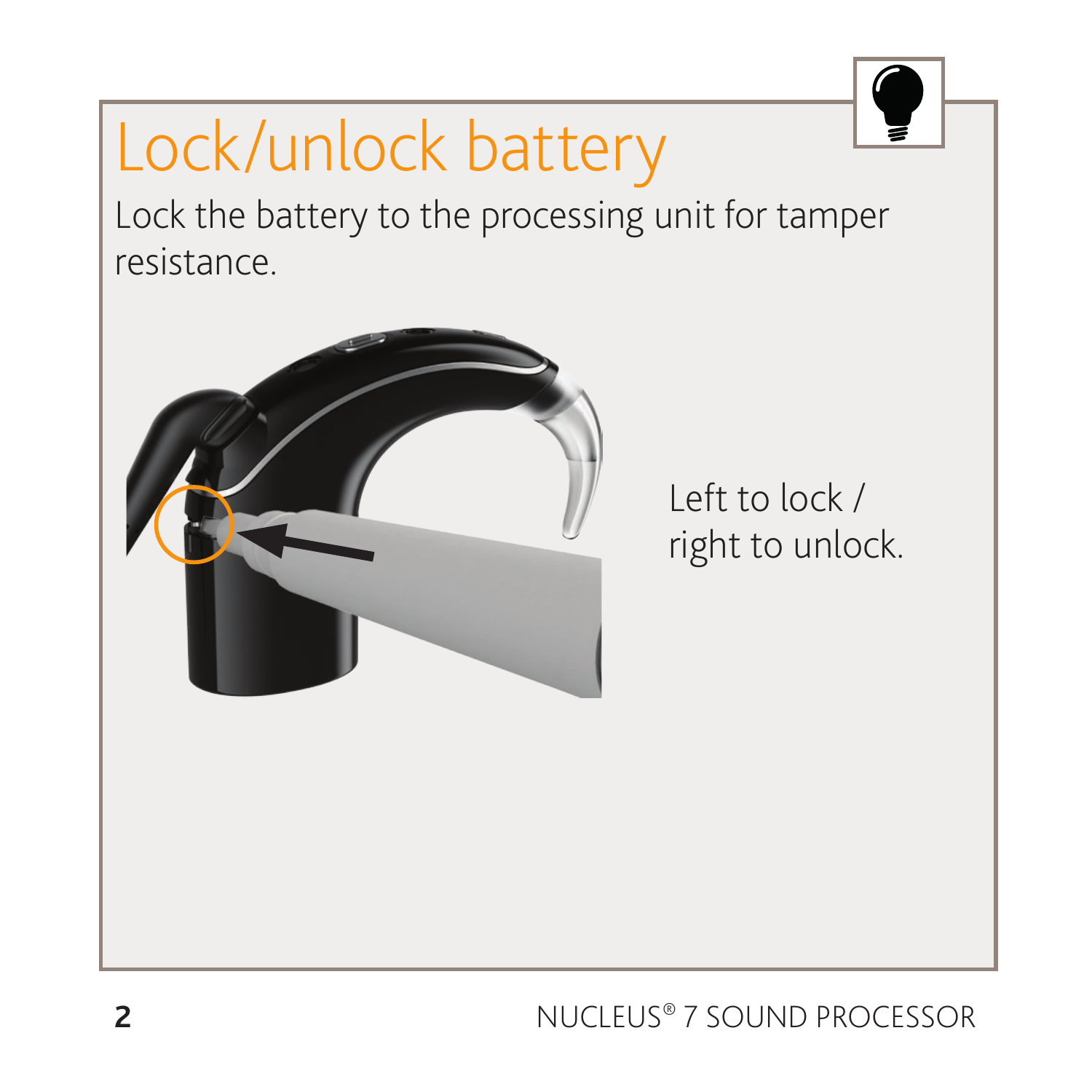### Lock/unlock battery





Left to lock / right to unlock.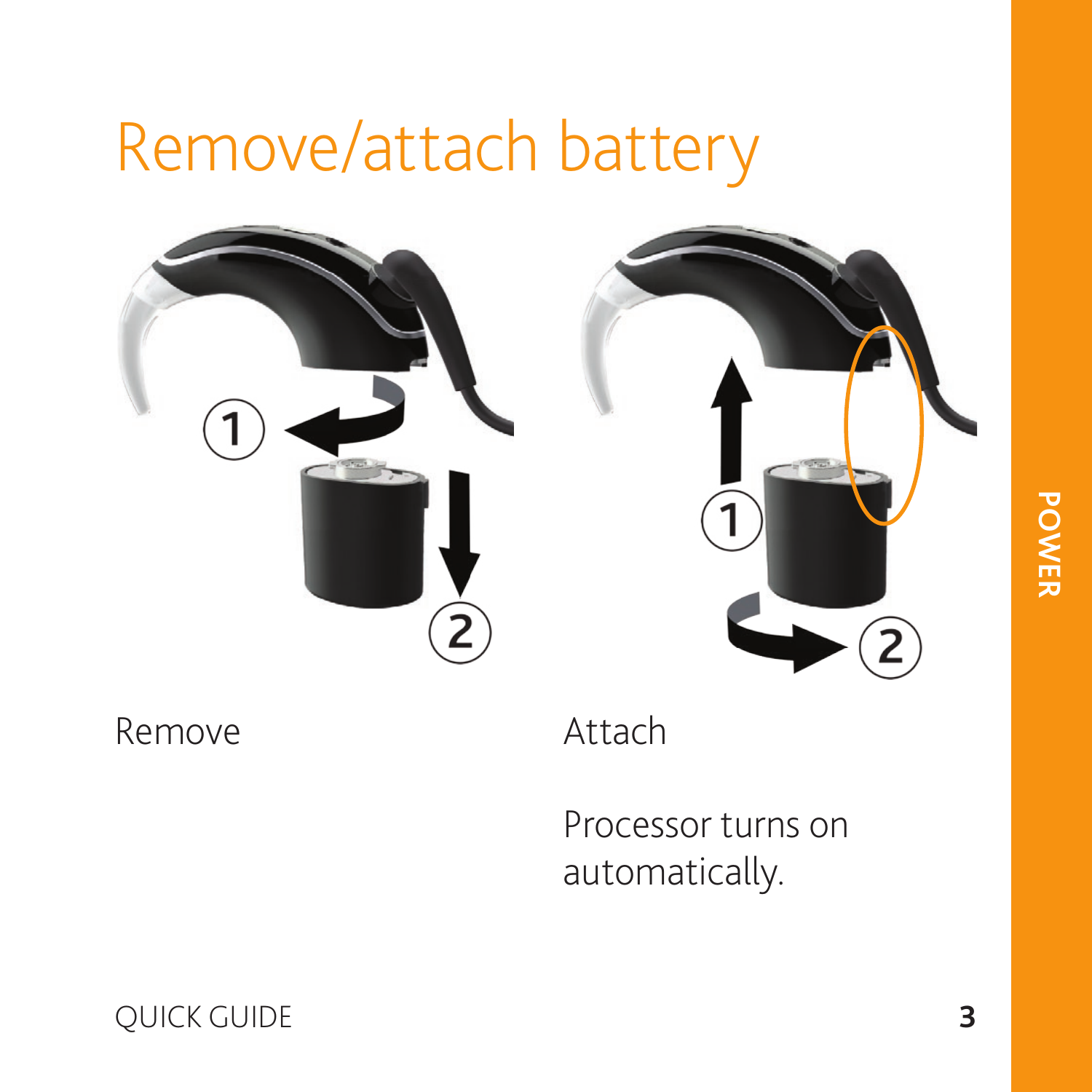### Remove/attach battery





Remove

Attach

Processor turns on automatically.

QUICK GUIDE **3**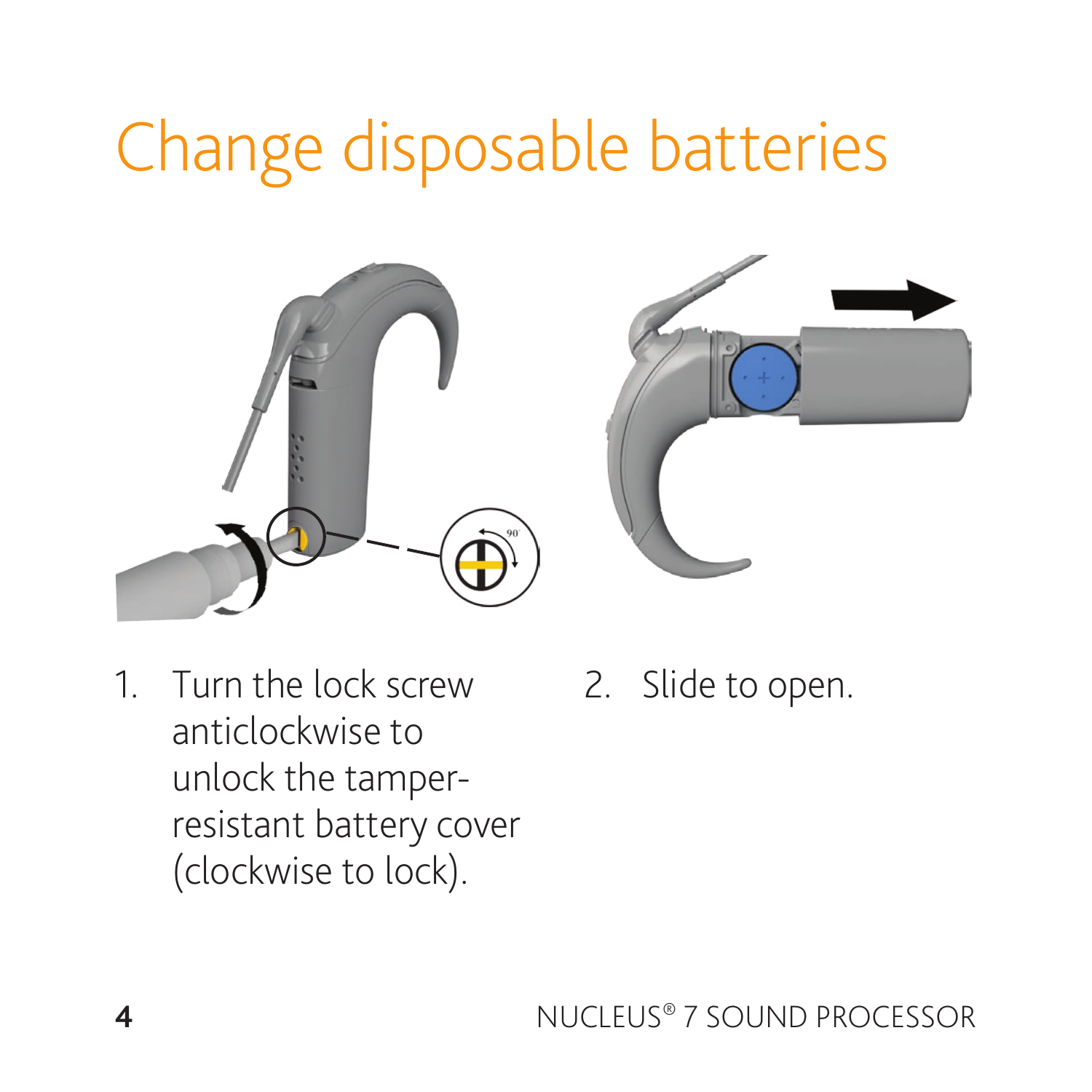### Change disposable batteries





- 1. Turn the lock screw anticlockwise to unlock the tamperresistant battery cover (clockwise to lock).
- 2. Slide to open.

**4** NUCLEUS® 7 SOUND PROCESSOR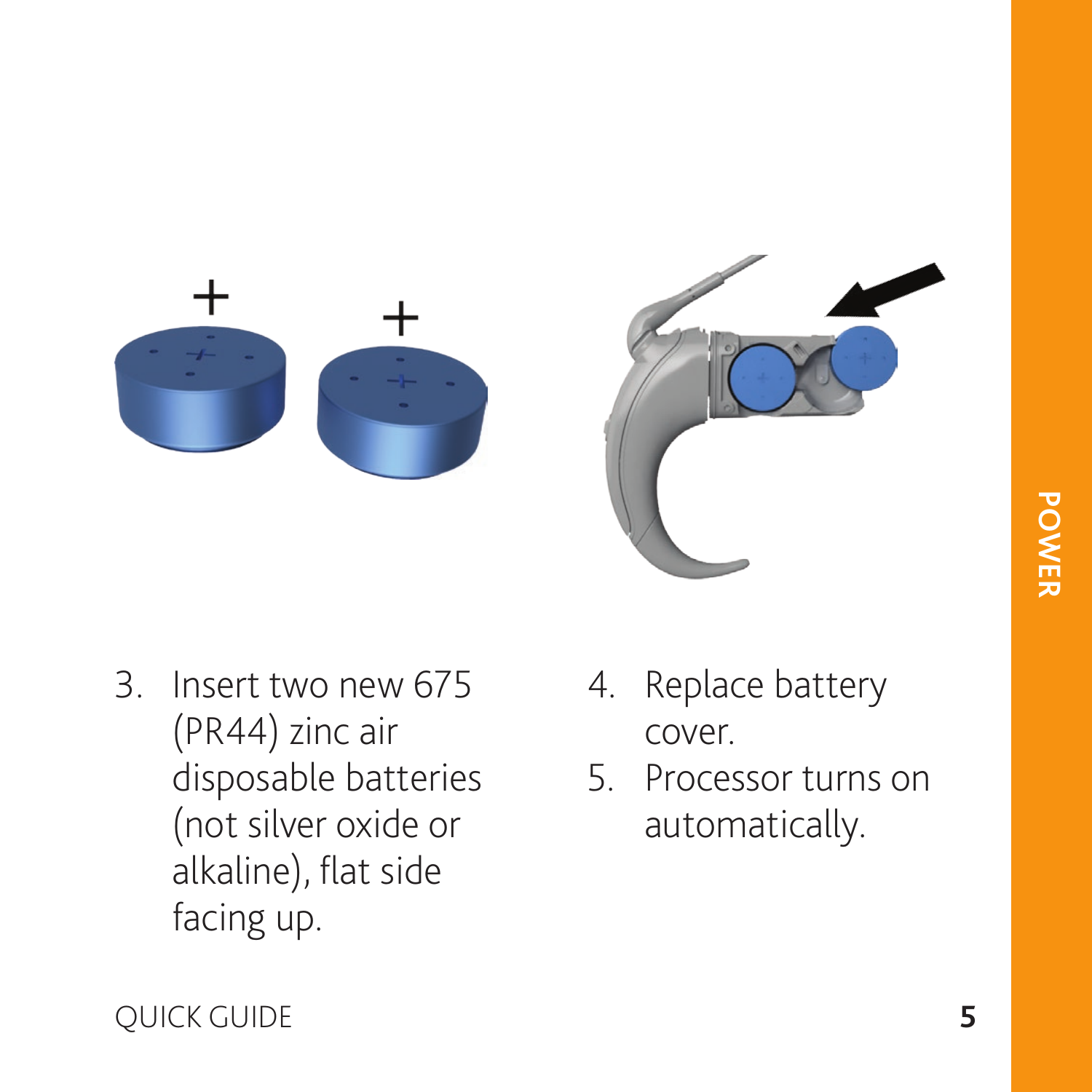



- 3. Insert two new 675 (PR44) zinc air disposable batteries (not silver oxide or alkaline), flat side facing up.
- 4. Replace battery cover.
- 5. Processor turns on automatically.

QUICK GUIDE **5**

**POWER**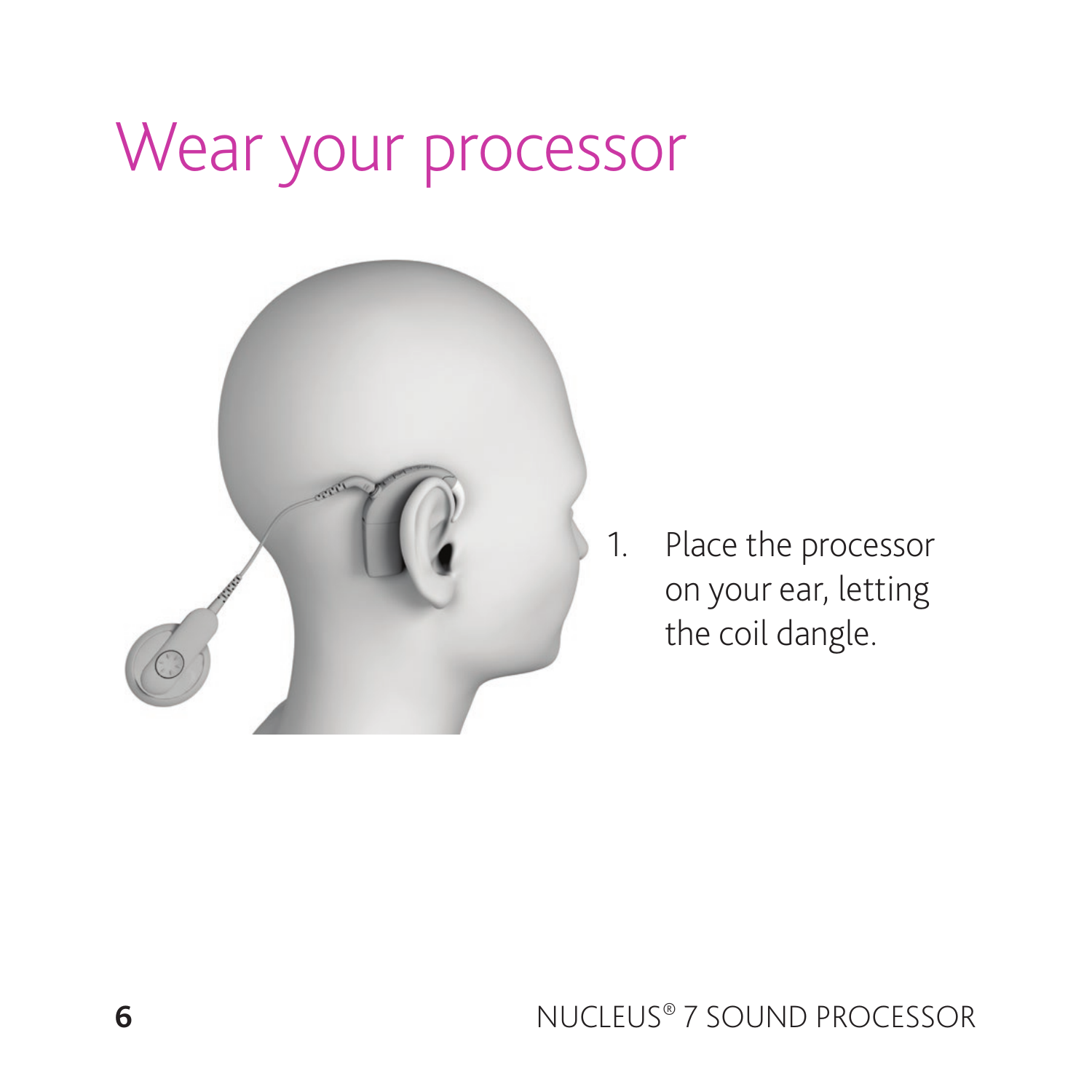### Wear your processor



1. Place the processor on your ear, letting the coil dangle.

**6** NUCLEUS® 7 SOUND PROCESSOR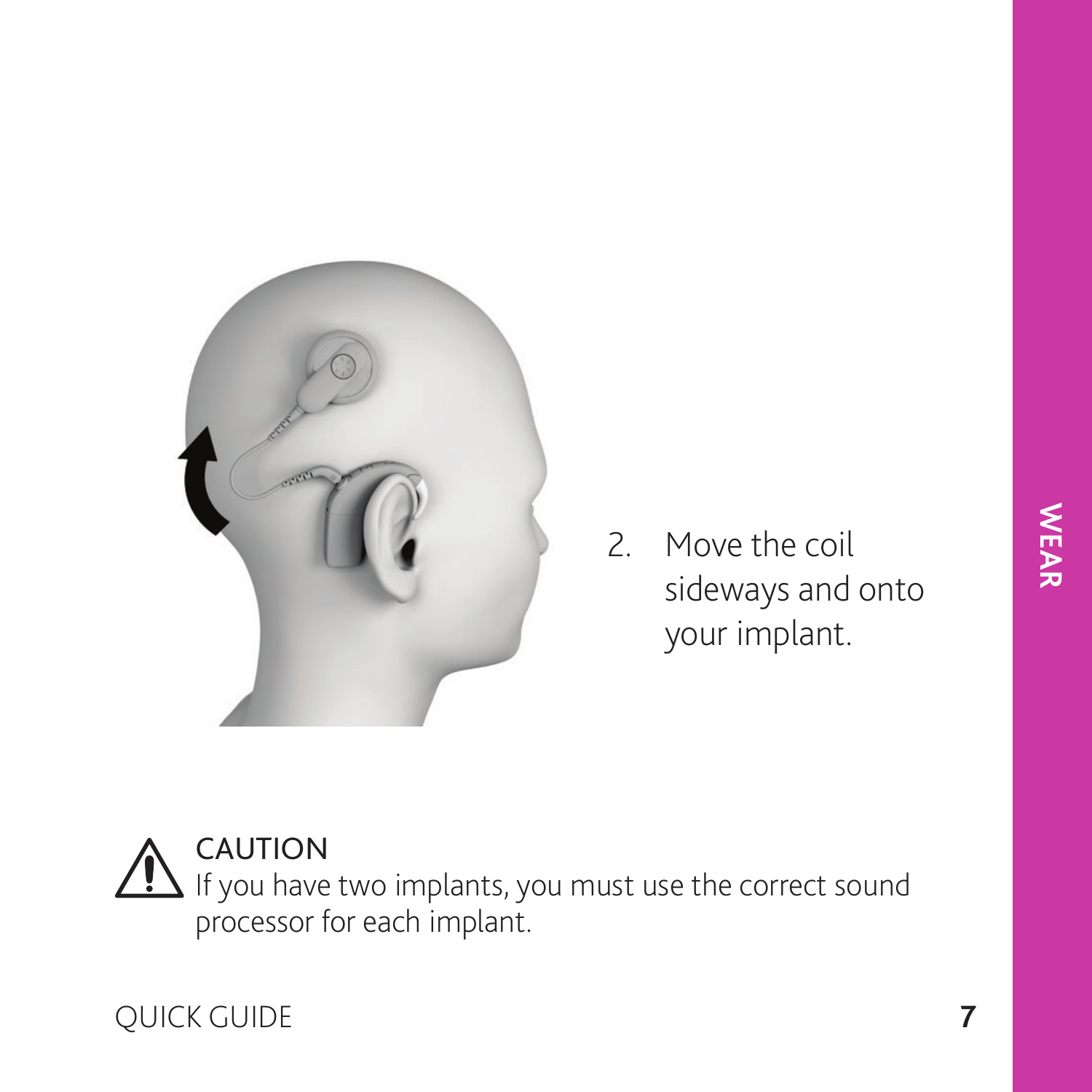

2. Move the coil sideways and onto your implant.

CAUTION  $\sqrt{!}$  If you have two implants, you must use the correct sound processor for each implant.

QUICK GUIDE **7**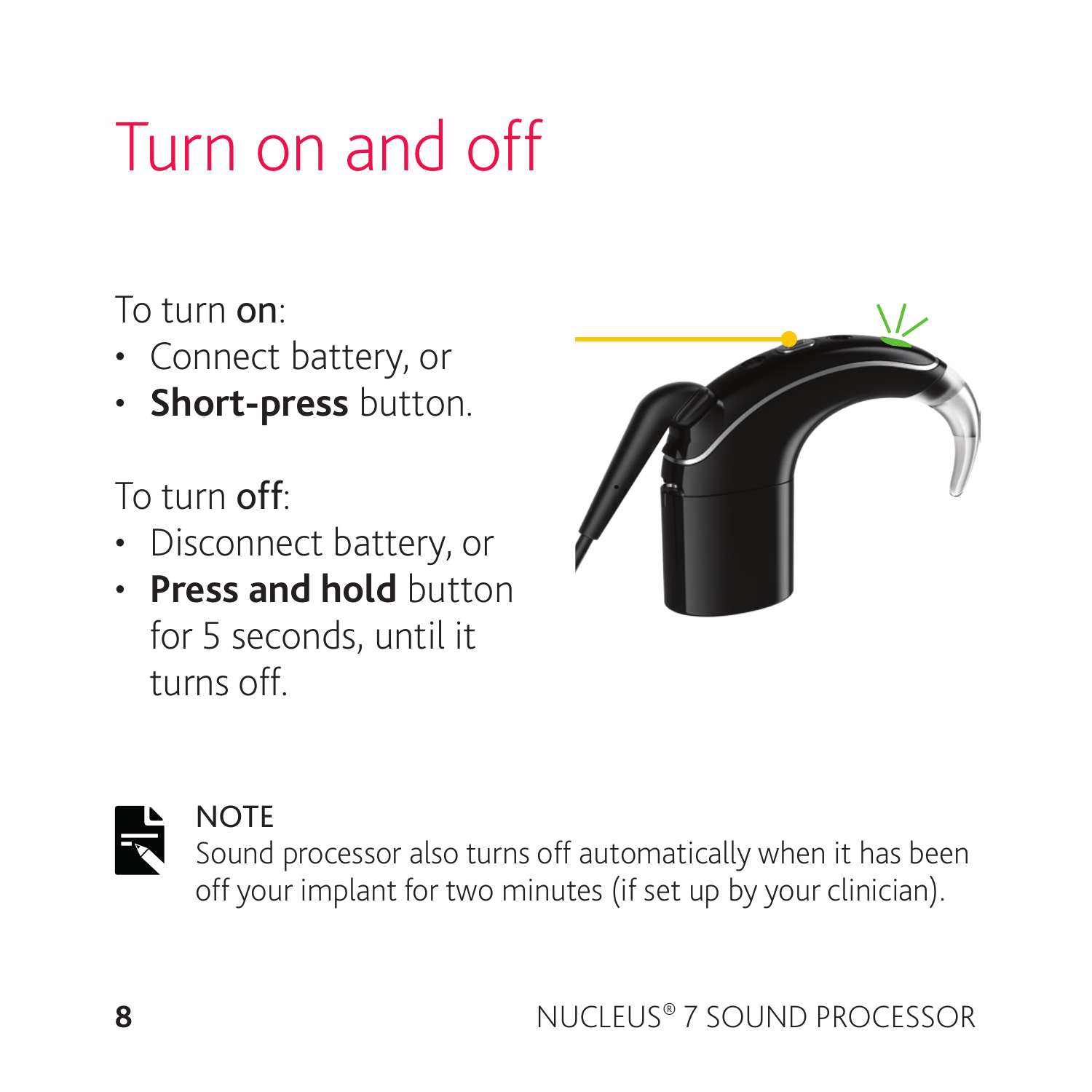### Turn on and off

To turn on:

- Connect battery, or
- **Short-press** button.

To turn off:

- Disconnect battery, or
- **Press and hold** button for 5 seconds, until it turns off.





#### **NOTE**

Sound processor also turns off automatically when it has been off your implant for two minutes (if set up by your clinician).

**8** NUCLEUS® 7 SOUND PROCESSOR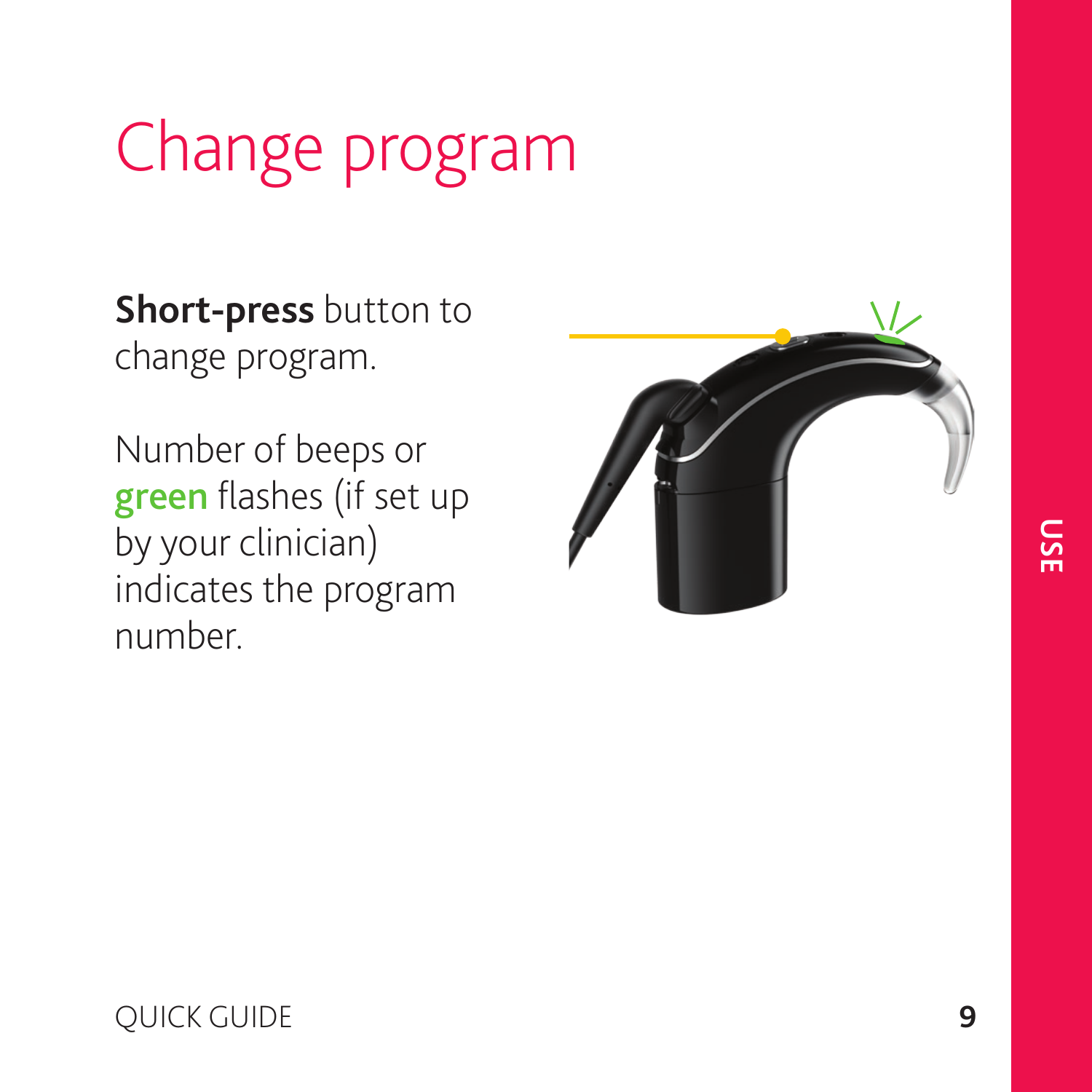### Change program

**Short-press** button to change program.

Number of beeps or green flashes (if set up by your clinician) indicates the program number.



#### QUICK GUIDE **9**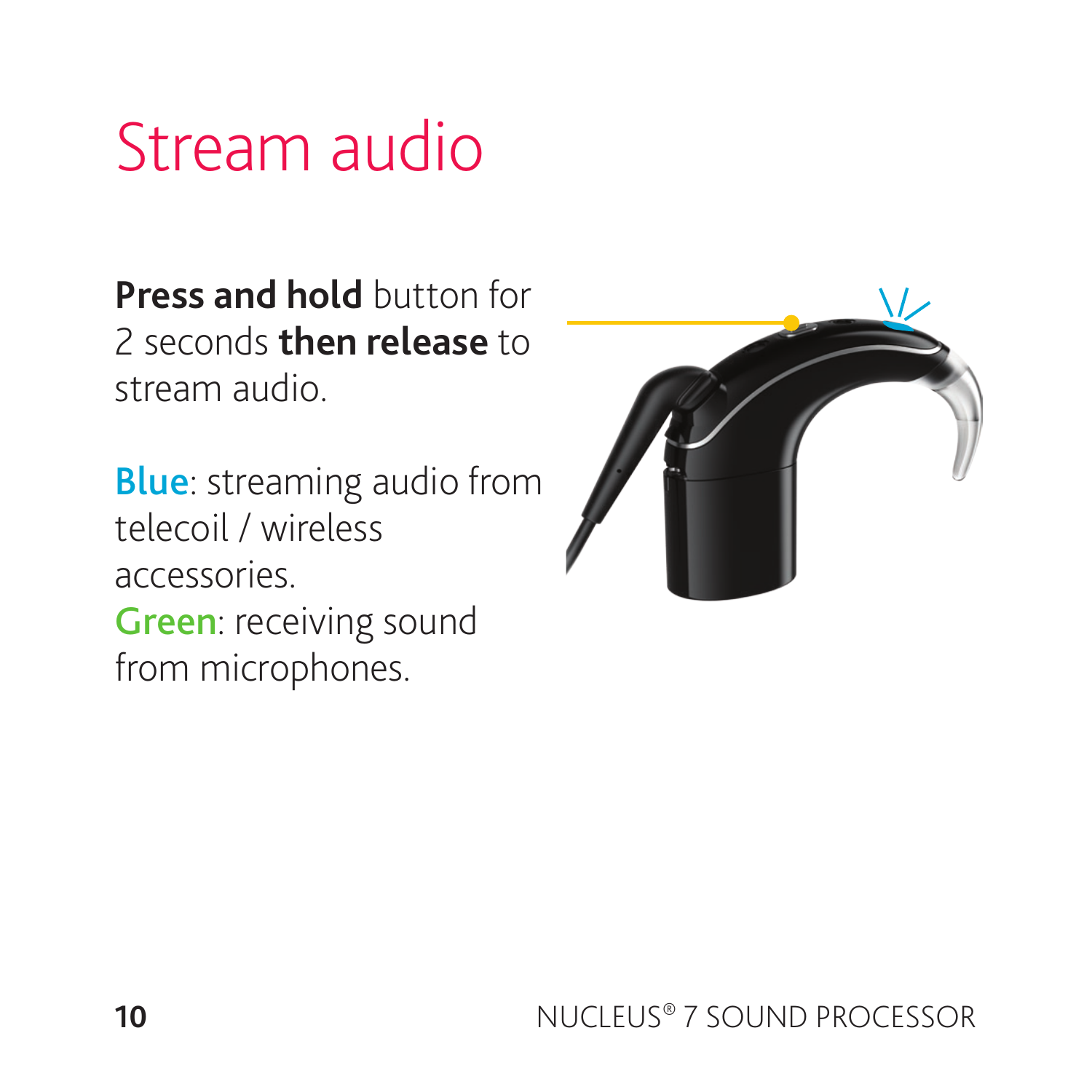### Stream audio

**Press and hold** button for 2 seconds **then release** to stream audio.

Blue: streaming audio from telecoil / wireless accessories. Green: receiving sound from microphones.

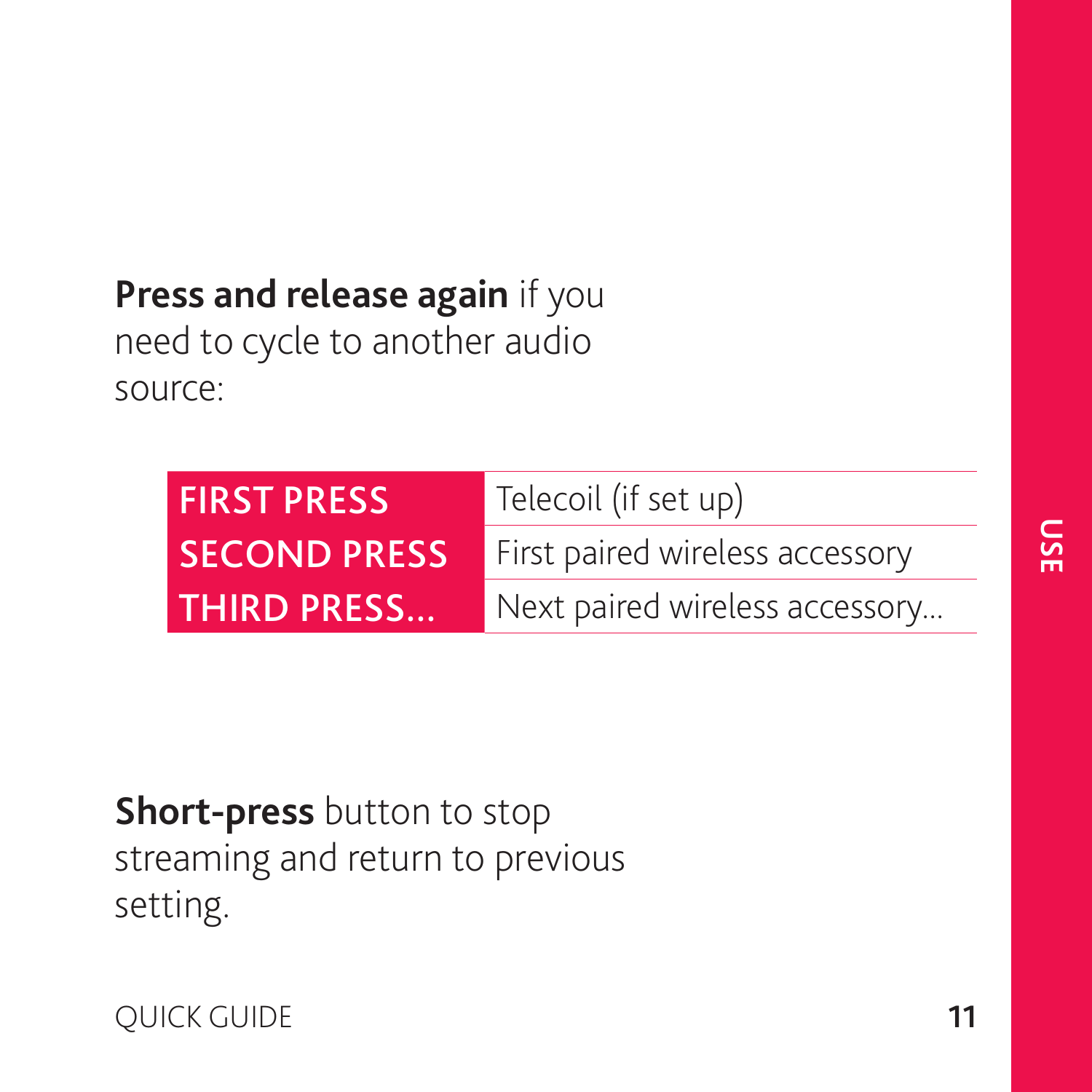#### **Press and release again** if you

need to cycle to another audio source:

| <b>FIRST PRESS</b>  | Telecoil (if set up)            |
|---------------------|---------------------------------|
| <b>SECOND PRESS</b> | First paired wireless accessory |
| <b>THIRD PRESS</b>  | Next paired wireless accessory  |

#### **Short-press** button to stop streaming and return to previous setting.

**OUICK GUIDE 11**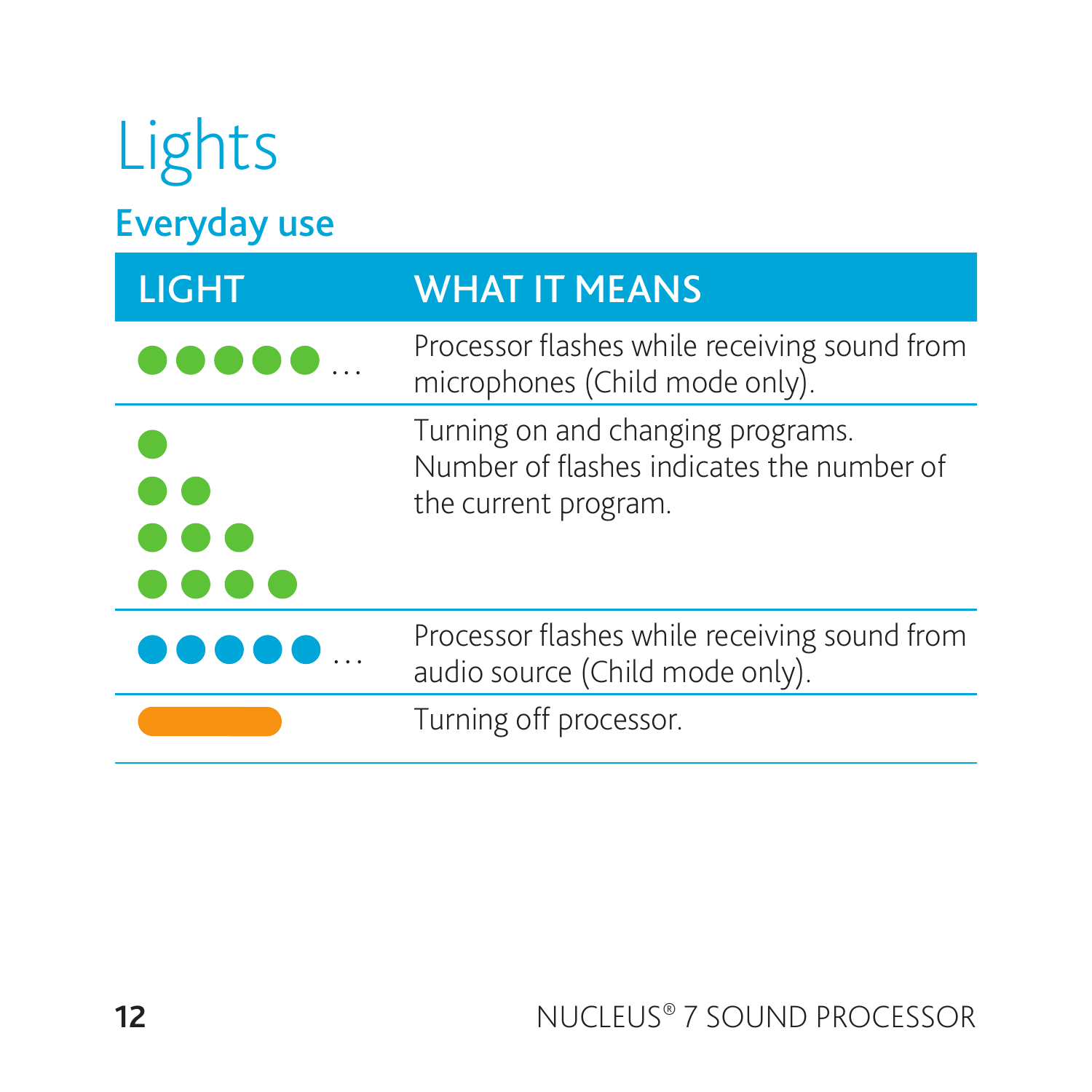| Lights              |                                                                                                        |
|---------------------|--------------------------------------------------------------------------------------------------------|
| <b>Everyday use</b> |                                                                                                        |
| <b>LIGHT</b>        | <b>WHAT IT MEANS</b>                                                                                   |
|                     | Processor flashes while receiving sound from<br>microphones (Child mode only).                         |
|                     | Turning on and changing programs.<br>Number of flashes indicates the number of<br>the current program. |
|                     | Processor flashes while receiving sound from<br>audio source (Child mode only).                        |
|                     | Turning off processor.                                                                                 |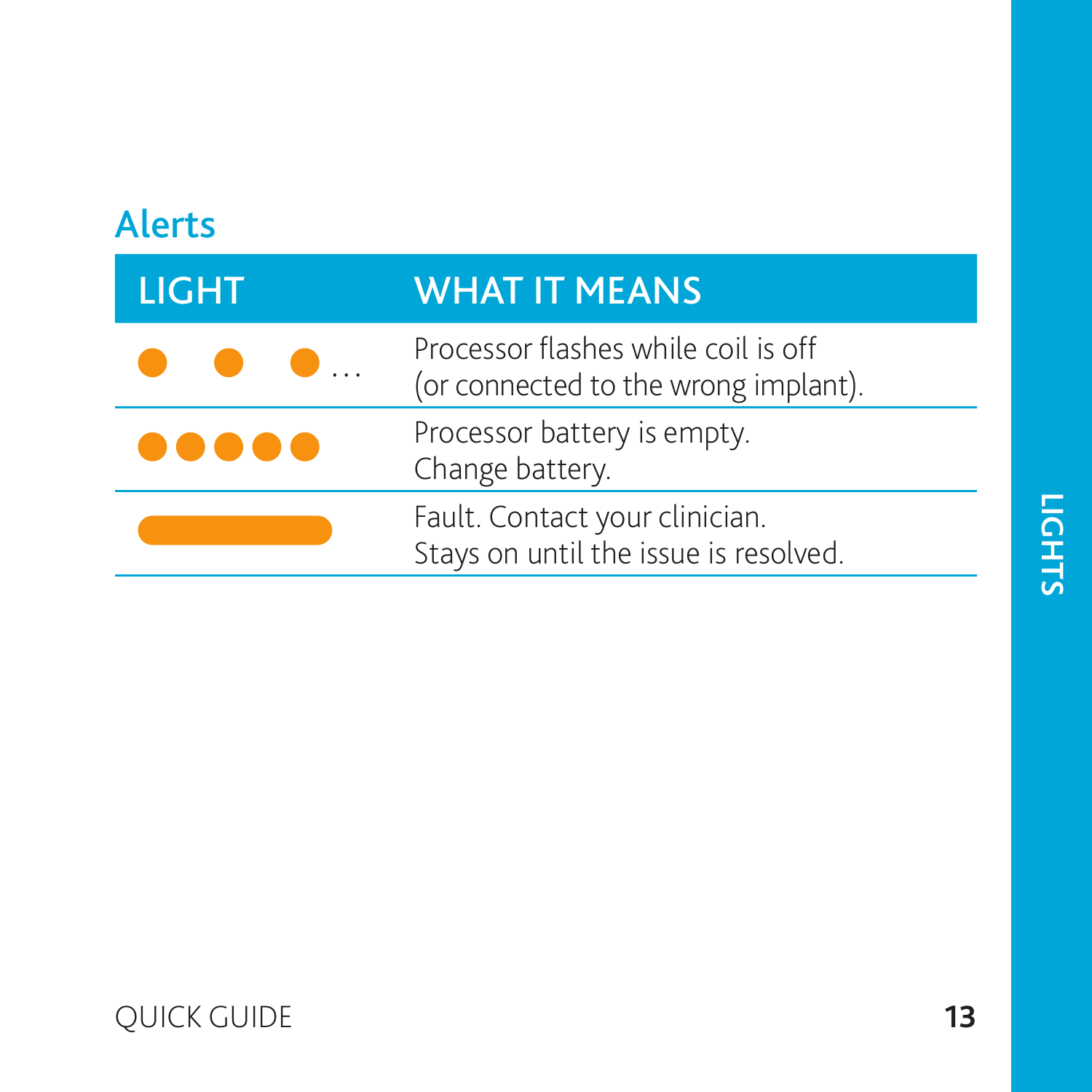| <b>Alerts</b> |                                                                             |
|---------------|-----------------------------------------------------------------------------|
| <b>LIGHT</b>  | <b>WHAT IT MEANS</b>                                                        |
|               | Processor flashes while coil is off<br>(or connected to the wrong implant). |
|               | Processor battery is empty.<br>Change battery.                              |
|               | Fault. Contact your clinician.<br>Stays on until the issue is resolved.     |